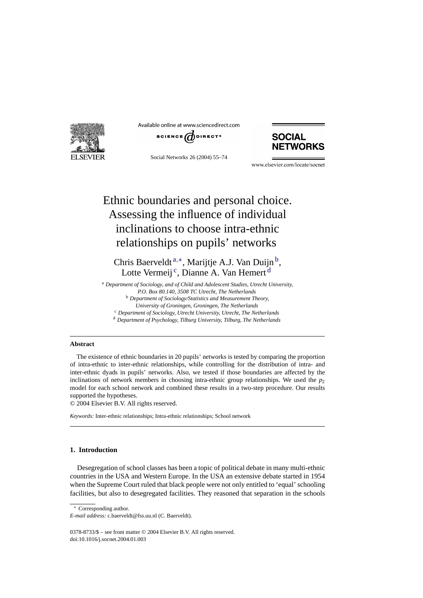

Available online at www.sciencedirect.com



Social Networks 26 (2004) 55–74



www.elsevier.com/locate/socnet

# Ethnic boundaries and personal choice. Assessing the influence of individual inclinations to choose intra-ethnic relationships on pupils' networks

Chris Baerveldt<sup>a,∗</sup>, Marijtje A.J. Van Duijn<sup>b</sup>, Lotte Vermeij<sup>c</sup>, Dianne A. Van Hemert<sup>d</sup>

<sup>a</sup> *Department of Sociology, and of Child and Adolescent Studies, Utrecht University, P.O. Box 80.140, 3508 TC Utrecht, The Netherlands* <sup>b</sup> *Department of Sociology/Statistics and Measurement Theory, University of Groningen, Groningen, The Netherlands* <sup>c</sup> *Department of Sociology, Utrecht University, Utrecht, The Netherlands* <sup>d</sup> *Department of Psychology, Tilburg University, Tilburg, The Netherlands*

## **Abstract**

The existence of ethnic boundaries in 20 pupils' networks is tested by comparing the proportion of intra-ethnic to inter-ethnic relationships, while controlling for the distribution of intra- and inter-ethnic dyads in pupils' networks. Also, we tested if those boundaries are affected by the inclinations of network members in choosing intra-ethnic group relationships. We used the  $p_2$ model for each school network and combined these results in a two-step procedure. Our results supported the hypotheses.

© 2004 Elsevier B.V. All rights reserved.

*Keywords:* Inter-ethnic relationships; Intra-ethnic relationships; School network

# **1. Introduction**

Desegregation of school classes has been a topic of political debate in many multi-ethnic countries in the USA and Western Europe. In the USA an extensive debate started in 1954 when the Supreme Court ruled that black people were not only entitled to 'equal' schooling facilities, but also to desegregated facilities. They reasoned that separation in the schools

<sup>∗</sup> Corresponding author.

*E-mail address:* c.baerveldt@fss.uu.nl (C. Baerveldt).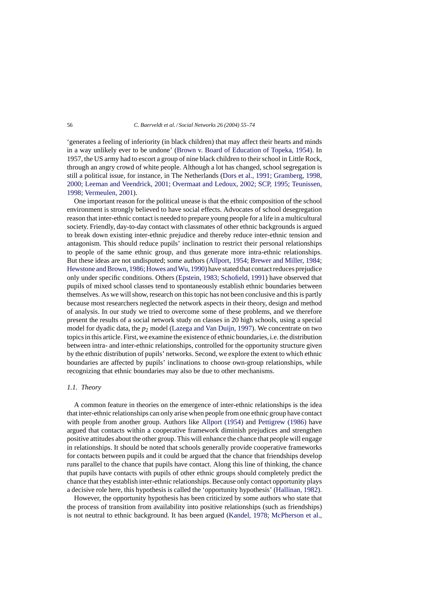'generates a feeling of inferiority (in black children) that may affect their hearts and minds in a way unlikely ever to be undone' ([Brown v. Board of Education of Topeka, 1954\)](#page-16-0). In 1957, the US army had to escort a group of nine black children to their school in Little Rock, through an angry crowd of white people. Although a lot has changed, school segregation is still a political issue, for instance, in The Netherlands [\(Dors et al., 1991; Gramberg, 1998,](#page-16-0) [2000; Leeman and Veendrick, 2001; Overmaat and Ledoux, 2002; SCP, 1995; Teunissen,](#page-16-0) [1998; Vermeulen, 2001\).](#page-16-0)

One important reason for the political unease is that the ethnic composition of the school environment is strongly believed to have social effects. Advocates of school desegregation reason that inter-ethnic contact is needed to prepare young people for a life in a multicultural society. Friendly, day-to-day contact with classmates of other ethnic backgrounds is argued to break down existing inter-ethnic prejudice and thereby reduce inter-ethnic tension and antagonism. This should reduce pupils' inclination to restrict their personal relationships to people of the same ethnic group, and thus generate more intra-ethnic relationships. But these ideas are not undisputed; some authors ([Allport, 1954; Brewer and Miller, 1984;](#page-16-0) [Hewstone and Brown, 1986; Howes and Wu, 1990\) ha](#page-16-0)ve stated that contact reduces prejudice only under specific conditions. Others ([Epstein, 1983; Schofield, 1991\)](#page-16-0) have observed that pupils of mixed school classes tend to spontaneously establish ethnic boundaries between themselves. As we will show, research on this topic has not been conclusive and this is partly because most researchers neglected the network aspects in their theory, design and method of analysis. In our study we tried to overcome some of these problems, and we therefore present the results of a social network study on classes in 20 high schools, using a special model for dyadic data, the *p*<sup>2</sup> model ([Lazega and Van Duijn, 1997\).](#page-17-0) We concentrate on two topics in this article. First, we examine the existence of ethnic boundaries, i.e. the distribution between intra- and inter-ethnic relationships, controlled for the opportunity structure given by the ethnic distribution of pupils' networks. Second, we explore the extent to which ethnic boundaries are affected by pupils' inclinations to choose own-group relationships, while recognizing that ethnic boundaries may also be due to other mechanisms.

# *1.1. Theory*

A common feature in theories on the emergence of inter-ethnic relationships is the idea that inter-ethnic relationships can only arise when people from one ethnic group have contact with people from another group. Authors like [Allport \(1954\)](#page-16-0) and [Pettigrew \(1986\)](#page-18-0) have argued that contacts within a cooperative framework diminish prejudices and strengthen positive attitudes about the other group. This will enhance the chance that people will engage in relationships. It should be noted that schools generally provide cooperative frameworks for contacts between pupils and it could be argued that the chance that friendships develop runs parallel to the chance that pupils have contact. Along this line of thinking, the chance that pupils have contacts with pupils of other ethnic groups should completely predict the chance that they establish inter-ethnic relationships. Because only contact opportunity plays a decisive role here, this hypothesis is called the 'opportunity hypothesis' [\(Hallinan, 1982\).](#page-17-0)

However, the opportunity hypothesis has been criticized by some authors who state that the process of transition from availability into positive relationships (such as friendships) is not neutral to ethnic background. It has been argued ([Kandel, 1978; McPherson et al.,](#page-17-0)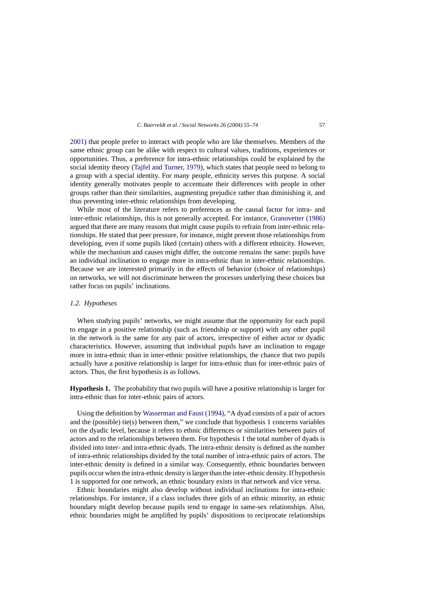[2001\)](#page-17-0) that people prefer to interact with people who are like themselves. Members of the same ethnic group can be alike with respect to cultural values, traditions, experiences or opportunities. Thus, a preference for intra-ethnic relationships could be explained by the social identity theory [\(Tajfel and Turner, 1979\),](#page-18-0) which states that people need to belong to a group with a special identity. For many people, ethnicity serves this purpose. A social identity generally motivates people to accentuate their differences with people in other groups rather than their similarities, augmenting prejudice rather than diminishing it, and thus preventing inter-ethnic relationships from developing.

While most of the literature refers to preferences as the causal factor for intra- and inter-ethnic relationships, this is not generally accepted. For instance, [Granovetter \(1986\)](#page-17-0) argued that there are many reasons that might cause pupils to refrain from inter-ethnic relationships. He stated that peer pressure, for instance, might prevent those relationships from developing, even if some pupils liked (certain) others with a different ethnicity. However, while the mechanism and causes might differ, the outcome remains the same: pupils have an individual inclination to engage more in intra-ethnic than in inter-ethnic relationships. Because we are interested primarily in the effects of behavior (choice of relationships) on networks, we will not discriminate between the processes underlying these choices but rather focus on pupils' inclinations.

### *1.2. Hypotheses*

When studying pupils' networks, we might assume that the opportunity for each pupil to engage in a positive relationship (such as friendship or support) with any other pupil in the network is the same for any pair of actors, irrespective of either actor or dyadic characteristics. However, assuming that individual pupils have an inclination to engage more in intra-ethnic than in inter-ethnic positive relationships, the chance that two pupils actually have a positive relationship is larger for intra-ethnic than for inter-ethnic pairs of actors. Thus, the first hypothesis is as follows.

**Hypothesis 1.** The probability that two pupils will have a positive relationship is larger for intra-ethnic than for inter-ethnic pairs of actors.

Using the definition by [Wasserman and Faust \(1994\), "](#page-19-0)A dyad consists of a pair of actors and the (possible) tie(s) between them," we conclude that hypothesis 1 concerns variables on the dyadic level, because it refers to ethnic differences or similarities between pairs of actors and to the relationships between them. For hypothesis 1 the total number of dyads is divided into inter- and intra-ethnic dyads. The intra-ethnic density is defined as the number of intra-ethnic relationships divided by the total number of intra-ethnic pairs of actors. The inter-ethnic density is defined in a similar way. Consequently, ethnic boundaries between pupils occur when the intra-ethnic density is larger than the inter-ethnic density. If hypothesis 1 is supported for one network, an ethnic boundary exists in that network and vice versa.

Ethnic boundaries might also develop without individual inclinations for intra-ethnic relationships. For instance, if a class includes three girls of an ethnic minority, an ethnic boundary might develop because pupils tend to engage in same-sex relationships. Also, ethnic boundaries might be amplified by pupils' dispositions to reciprocate relationships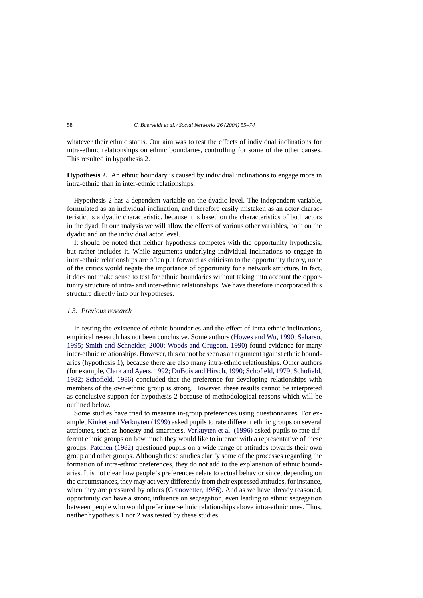whatever their ethnic status. Our aim was to test the effects of individual inclinations for intra-ethnic relationships on ethnic boundaries, controlling for some of the other causes. This resulted in hypothesis 2.

**Hypothesis 2.** An ethnic boundary is caused by individual inclinations to engage more in intra-ethnic than in inter-ethnic relationships.

Hypothesis 2 has a dependent variable on the dyadic level. The independent variable, formulated as an individual inclination, and therefore easily mistaken as an actor characteristic, is a dyadic characteristic, because it is based on the characteristics of both actors in the dyad. In our analysis we will allow the effects of various other variables, both on the dyadic and on the individual actor level.

It should be noted that neither hypothesis competes with the opportunity hypothesis, but rather includes it. While arguments underlying individual inclinations to engage in intra-ethnic relationships are often put forward as criticism to the opportunity theory, none of the critics would negate the importance of opportunity for a network structure. In fact, it does not make sense to test for ethnic boundaries without taking into account the opportunity structure of intra- and inter-ethnic relationships. We have therefore incorporated this structure directly into our hypotheses.

#### *1.3. Previous research*

In testing the existence of ethnic boundaries and the effect of intra-ethnic inclinations, empirical research has not been conclusive. Some authors ([Howes and Wu, 1990; Saharso,](#page-17-0) [1995; Smith and Schneider, 2000; Woods and Grugeon, 1990](#page-17-0)) found evidence for many inter-ethnic relationships. However, this cannot be seen as an argument against ethnic boundaries (hypothesis 1), because there are also many intra-ethnic relationships. Other authors (for example, [Clark and Ayers, 1992; DuBois and Hirsch, 1990; Schofield, 1979; Schofield,](#page-16-0) [1982; Schofield, 1986\)](#page-16-0) concluded that the preference for developing relationships with members of the own-ethnic group is strong. However, these results cannot be interpreted as conclusive support for hypothesis 2 because of methodological reasons which will be outlined below.

Some studies have tried to measure in-group preferences using questionnaires. For example, [Kinket and Verkuyten \(1999\)](#page-17-0) asked pupils to rate different ethnic groups on several attributes, such as honesty and smartness. [Verkuyten et al. \(1996\)](#page-19-0) asked pupils to rate different ethnic groups on how much they would like to interact with a representative of these groups. [Patchen \(1982\)](#page-18-0) questioned pupils on a wide range of attitudes towards their own group and other groups. Although these studies clarify some of the processes regarding the formation of intra-ethnic preferences, they do not add to the explanation of ethnic boundaries. It is not clear how people's preferences relate to actual behavior since, depending on the circumstances, they may act very differently from their expressed attitudes, for instance, when they are pressured by others ([Granovetter, 1986\).](#page-17-0) And as we have already reasoned, opportunity can have a strong influence on segregation, even leading to ethnic segregation between people who would prefer inter-ethnic relationships above intra-ethnic ones. Thus, neither hypothesis 1 nor 2 was tested by these studies.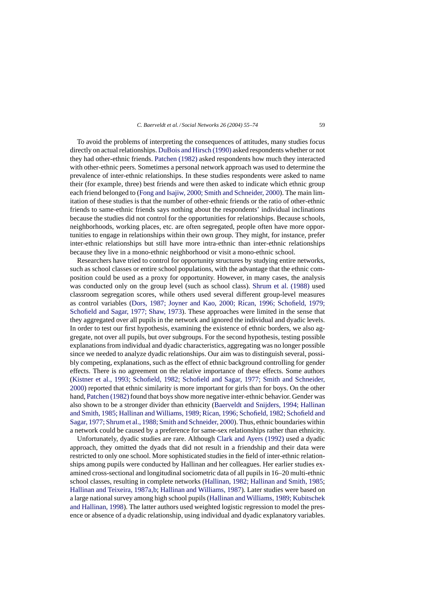To avoid the problems of interpreting the consequences of attitudes, many studies focus directly on actual relationships. [DuBois and Hirsch \(1990\)](#page-16-0) asked respondents whether or not they had other-ethnic friends. [Patchen \(1982\)](#page-18-0) asked respondents how much they interacted with other-ethnic peers. Sometimes a personal network approach was used to determine the prevalence of inter-ethnic relationships. In these studies respondents were asked to name their (for example, three) best friends and were then asked to indicate which ethnic group each friend belonged to [\(Fong and Isajiw, 2000; Smith and Schneider, 2000\). T](#page-16-0)he main limitation of these studies is that the number of other-ethnic friends or the ratio of other-ethnic friends to same-ethnic friends says nothing about the respondents' individual inclinations because the studies did not control for the opportunities for relationships. Because schools, neighborhoods, working places, etc. are often segregated, people often have more opportunities to engage in relationships within their own group. They might, for instance, prefer inter-ethnic relationships but still have more intra-ethnic than inter-ethnic relationships because they live in a mono-ethnic neighborhood or visit a mono-ethnic school.

Researchers have tried to control for opportunity structures by studying entire networks, such as school classes or entire school populations, with the advantage that the ethnic composition could be used as a proxy for opportunity. However, in many cases, the analysis was conducted only on the group level (such as school class). [Shrum et al. \(1988\)](#page-18-0) used classroom segregation scores, while others used several different group-level measures as control variables (Dors, 1987; Joyner and Kao, 2000; Rícan, 1996; Schofield, 1979; [Schofield and Sagar, 1977; Shaw, 1973\)](#page-16-0). These approaches were limited in the sense that they aggregated over all pupils in the network and ignored the individual and dyadic levels. In order to test our first hypothesis, examining the existence of ethnic borders, we also aggregate, not over all pupils, but over subgroups. For the second hypothesis, testing possible explanations from individual and dyadic characteristics, aggregating was no longer possible since we needed to analyze dyadic relationships. Our aim was to distinguish several, possibly competing, explanations, such as the effect of ethnic background controlling for gender effects. There is no agreement on the relative importance of these effects. Some authors ([Kistner et al., 1993; Schofield, 1982; Schofield and Sagar, 1977; Smith and Schneide](#page-17-0)r, [2000\)](#page-17-0) reported that ethnic similarity is more important for girls than for boys. On the other hand, [Patchen \(1982\)](#page-18-0) found that boys show more negative inter-ethnic behavior. Gender was also shown to be a stronger divider than ethnicity ([Baerveldt and Snijders, 1994; Hallinan](#page-16-0) and Smith, 1985; Hallinan and Williams, 1989; Rícan, 1996; Schofield, 1982; Schofield and [Sagar, 1977; Shrum et al., 1988; Smith and Schneider, 2000\). T](#page-16-0)hus, ethnic boundaries within a network could be caused by a preference for same-sex relationships rather than ethnicity.

Unfortunately, dyadic studies are rare. Although [Clark and Ayers \(1992\)](#page-16-0) used a dyadic approach, they omitted the dyads that did not result in a friendship and their data were restricted to only one school. More sophisticated studies in the field of inter-ethnic relationships among pupils were conducted by Hallinan and her colleagues. Her earlier studies examined cross-sectional and longitudinal sociometric data of all pupils in 16–20 multi-ethnic school classes, resulting in complete networks ([Hallinan, 1982; Hallinan and Smith, 1985;](#page-17-0) [Hallinan and Teixeira, 1987a,b;](#page-17-0) [Hallinan and Williams, 1987\).](#page-17-0) Later studies were based on a large national survey among high school pupils [\(Hallinan and Williams, 1989; Kubitschek](#page-17-0) [and Hallinan, 1998\).](#page-17-0) The latter authors used weighted logistic regression to model the presence or absence of a dyadic relationship, using individual and dyadic explanatory variables.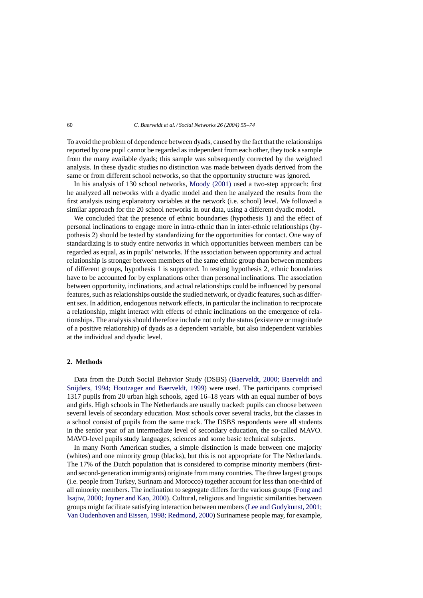To avoid the problem of dependence between dyads, caused by the fact that the relationships reported by one pupil cannot be regarded as independent from each other, they took a sample from the many available dyads; this sample was subsequently corrected by the weighted analysis. In these dyadic studies no distinction was made between dyads derived from the same or from different school networks, so that the opportunity structure was ignored.

In his analysis of 130 school networks, [Moody \(2001\)](#page-17-0) used a two-step approach: first he analyzed all networks with a dyadic model and then he analyzed the results from the first analysis using explanatory variables at the network (i.e. school) level. We followed a similar approach for the 20 school networks in our data, using a different dyadic model.

We concluded that the presence of ethnic boundaries (hypothesis 1) and the effect of personal inclinations to engage more in intra-ethnic than in inter-ethnic relationships (hypothesis 2) should be tested by standardizing for the opportunities for contact. One way of standardizing is to study entire networks in which opportunities between members can be regarded as equal, as in pupils' networks. If the association between opportunity and actual relationship is stronger between members of the same ethnic group than between members of different groups, hypothesis 1 is supported. In testing hypothesis 2, ethnic boundaries have to be accounted for by explanations other than personal inclinations. The association between opportunity, inclinations, and actual relationships could be influenced by personal features, such as relationships outside the studied network, or dyadic features, such as different sex. In addition, endogenous network effects, in particular the inclination to reciprocate a relationship, might interact with effects of ethnic inclinations on the emergence of relationships. The analysis should therefore include not only the status (existence or magnitude of a positive relationship) of dyads as a dependent variable, but also independent variables at the individual and dyadic level.

## **2. Methods**

Data from the Dutch Social Behavior Study (DSBS) ([Baerveldt, 2000; Baerveldt and](#page-16-0) [Snijders, 1994; Houtzager and Baerveldt, 1999](#page-16-0)) were used. The participants comprised 1317 pupils from 20 urban high schools, aged 16–18 years with an equal number of boys and girls. High schools in The Netherlands are usually tracked: pupils can choose between several levels of secondary education. Most schools cover several tracks, but the classes in a school consist of pupils from the same track. The DSBS respondents were all students in the senior year of an intermediate level of secondary education, the so-called MAVO. MAVO-level pupils study languages, sciences and some basic technical subjects.

In many North American studies, a simple distinction is made between one majority (whites) and one minority group (blacks), but this is not appropriate for The Netherlands. The 17% of the Dutch population that is considered to comprise minority members (firstand second-generation immigrants) originate from many countries. The three largest groups (i.e. people from Turkey, Surinam and Morocco) together account for less than one-third of all minority members. The inclination to segregate differs for the various groups ([Fong and](#page-16-0) [Isajiw, 2000; Joyner and Kao, 2000\).](#page-16-0) Cultural, religious and linguistic similarities between groups might facilitate satisfying interaction between members [\(Lee and Gudykunst, 2001;](#page-17-0) [Van Oudenhoven and Eissen, 1998; Redmond, 2000\) S](#page-17-0)urinamese people may, for example,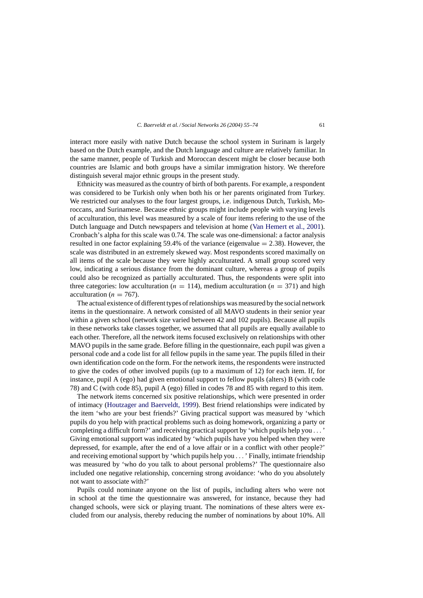interact more easily with native Dutch because the school system in Surinam is largely based on the Dutch example, and the Dutch language and culture are relatively familiar. In the same manner, people of Turkish and Moroccan descent might be closer because both countries are Islamic and both groups have a similar immigration history. We therefore distinguish several major ethnic groups in the present study.

Ethnicity was measured as the country of birth of both parents. For example, a respondent was considered to be Turkish only when both his or her parents originated from Turkey. We restricted our analyses to the four largest groups, i.e. indigenous Dutch, Turkish, Moroccans, and Surinamese. Because ethnic groups might include people with varying levels of acculturation, this level was measured by a scale of four items refering to the use of the Dutch language and Dutch newspapers and television at home [\(Van Hemert et al., 2001\).](#page-18-0) Cronbach's alpha for this scale was 0.74. The scale was one-dimensional: a factor analysis resulted in one factor explaining 59.4% of the variance (eigenvalue  $= 2.38$ ). However, the scale was distributed in an extremely skewed way. Most respondents scored maximally on all items of the scale because they were highly acculturated. A small group scored very low, indicating a serious distance from the dominant culture, whereas a group of pupils could also be recognized as partially acculturated. Thus, the respondents were split into three categories: low acculturation ( $n = 114$ ), medium acculturation ( $n = 371$ ) and high acculturation ( $n = 767$ ).

The actual existence of different types of relationships was measured by the social network items in the questionnaire. A network consisted of all MAVO students in their senior year within a given school (network size varied between 42 and 102 pupils). Because all pupils in these networks take classes together, we assumed that all pupils are equally available to each other. Therefore, all the network items focused exclusively on relationships with other MAVO pupils in the same grade. Before filling in the questionnaire, each pupil was given a personal code and a code list for all fellow pupils in the same year. The pupils filled in their own identification code on the form. For the network items, the respondents were instructed to give the codes of other involved pupils (up to a maximum of 12) for each item. If, for instance, pupil A (ego) had given emotional support to fellow pupils (alters) B (with code 78) and C (with code 85), pupil A (ego) filled in codes 78 and 85 with regard to this item.

The network items concerned six positive relationships, which were presented in order of intimacy ([Houtzager and Baerveldt, 1999\).](#page-17-0) Best friend relationships were indicated by the item 'who are your best friends?' Giving practical support was measured by 'which pupils do you help with practical problems such as doing homework, organizing a party or completing a difficult form?' and receiving practical support by 'which pupils help you ... ' Giving emotional support was indicated by 'which pupils have you helped when they were depressed, for example, after the end of a love affair or in a conflict with other people?' and receiving emotional support by 'which pupils help you ... ' Finally, intimate friendship was measured by 'who do you talk to about personal problems?' The questionnaire also included one negative relationship, concerning strong avoidance: 'who do you absolutely not want to associate with?'

Pupils could nominate anyone on the list of pupils, including alters who were not in school at the time the questionnaire was answered, for instance, because they had changed schools, were sick or playing truant. The nominations of these alters were excluded from our analysis, thereby reducing the number of nominations by about 10%. All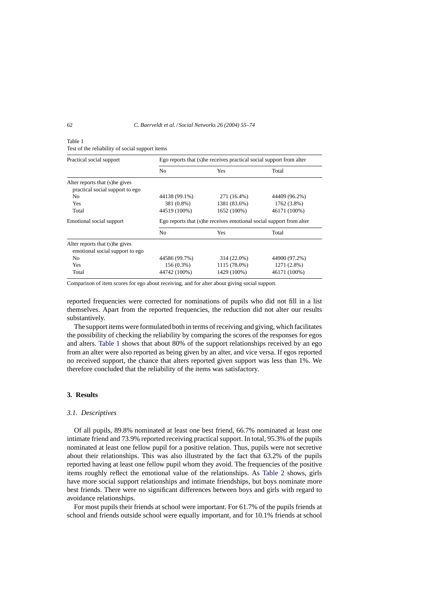| Practical social support                                           | Ego reports that (s) he receives practical social support from alter |              |               |  |
|--------------------------------------------------------------------|----------------------------------------------------------------------|--------------|---------------|--|
|                                                                    | No                                                                   | Yes          | Total         |  |
| Alter reports that (s) he gives<br>practical social support to ego |                                                                      |              |               |  |
| No                                                                 | 44138 (99.1%)                                                        | 271 (16.4%)  | 44409 (96.2%) |  |
| Yes                                                                | 381 (0.8%)                                                           | 1381 (83.6%) | 1762 (3.8%)   |  |
| Total                                                              | 44519 (100%)                                                         | 1652 (100%)  | 46171 (100%)  |  |
| Emotional social support                                           | Ego reports that (s) he receives emotional social support from alter |              |               |  |
|                                                                    | No                                                                   | Yes          | Total         |  |
| Alter reports that (s) he gives<br>emotional social support to ego |                                                                      |              |               |  |
| N <sub>0</sub>                                                     | 44586 (99.7%)                                                        | 314 (22.0%)  | 44900 (97.2%) |  |
| Yes                                                                | $156(0.3\%)$                                                         | 1115 (78.0%) | 1271 (2.8%)   |  |
| Total                                                              | 44742 (100%)                                                         | 1429 (100%)  | 46171 (100%)  |  |

### <span id="page-7-0"></span>Table 1 Test of the reliability of social support items

Comparison of item scores for ego about receiving, and for alter about giving social support.

reported frequencies were corrected for nominations of pupils who did not fill in a list themselves. Apart from the reported frequencies, the reduction did not alter our results substantively.

The support items were formulated both in terms of receiving and giving, which facilitates the possibility of checking the reliability by comparing the scores of the responses for egos and alters. Table 1 shows that about 80% of the support relationships received by an ego from an alter were also reported as being given by an alter, and vice versa. If egos reported no received support, the chance that alters reported given support was less than 1%. We therefore concluded that the reliability of the items was satisfactory.

# **3. Results**

#### *3.1. Descriptives*

Of all pupils, 89.8% nominated at least one best friend, 66.7% nominated at least one intimate friend and 73.9% reported receiving practical support. In total, 95.3% of the pupils nominated at least one fellow pupil for a positive relation. Thus, pupils were not secretive about their relationships. This was also illustrated by the fact that 63.2% of the pupils reported having at least one fellow pupil whom they avoid. The frequencies of the positive items roughly reflect the emotional value of the relationships. As [Table 2](#page-8-0) shows, girls have more social support relationships and intimate friendships, but boys nominate more best friends. There were no significant differences between boys and girls with regard to avoidance relationships.

For most pupils their friends at school were important. For 61.7% of the pupils friends at school and friends outside school were equally important, and for 10.1% friends at school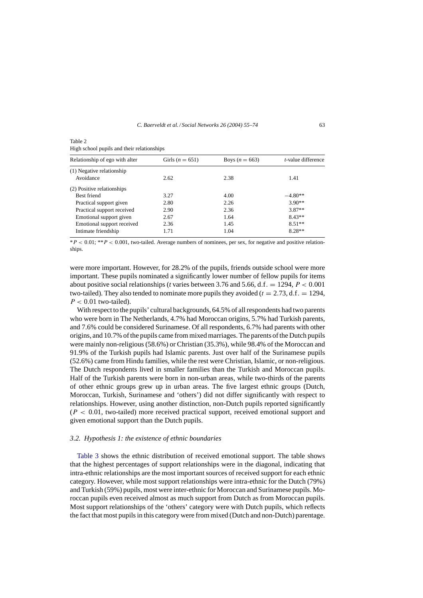| Relationship of ego with alter | Girls $(n = 651)$ | Boys $(n = 663)$ | <i>t</i> -value difference |
|--------------------------------|-------------------|------------------|----------------------------|
| (1) Negative relationship      |                   |                  |                            |
| Avoidance                      | 2.62              | 2.38             | 1.41                       |
| (2) Positive relationships     |                   |                  |                            |
| <b>Best friend</b>             | 3.27              | 4.00             | $-4.80**$                  |
| Practical support given        | 2.80              | 2.26             | $3.90**$                   |
| Practical support received     | 2.90              | 2.36             | $3.87**$                   |
| Emotional support given        | 2.67              | 1.64             | $8.43**$                   |
| Emotional support received     | 2.36              | 1.45             | $8.51**$                   |
| Intimate friendship            | 1.71              | 1.04             | $8.28**$                   |

| 10010L                                     |  |  |  |
|--------------------------------------------|--|--|--|
| High school pupils and their relationships |  |  |  |

<span id="page-8-0"></span>Table 2

 $*P < 0.01$ ;  $**P < 0.001$ , two-tailed. Average numbers of nominees, per sex, for negative and positive relationships.

were more important. However, for 28.2% of the pupils, friends outside school were more important. These pupils nominated a significantly lower number of fellow pupils for items about positive social relationships (*t* varies between 3.76 and 5.66, d.f.  $= 1294, P < 0.001$ two-tailed). They also tended to nominate more pupils they avoided ( $t = 2.73$ , d.f. = 1294,  $P < 0.01$  two-tailed).

With respect to the pupils' cultural backgrounds, 64.5% of all respondents had two parents who were born in The Netherlands, 4.7% had Moroccan origins, 5.7% had Turkish parents, and 7.6% could be considered Surinamese. Of all respondents, 6.7% had parents with other origins, and 10.7% of the pupils came from mixed marriages. The parents of the Dutch pupils were mainly non-religious (58.6%) or Christian (35.3%), while 98.4% of the Moroccan and 91.9% of the Turkish pupils had Islamic parents. Just over half of the Surinamese pupils (52.6%) came from Hindu families, while the rest were Christian, Islamic, or non-religious. The Dutch respondents lived in smaller families than the Turkish and Moroccan pupils. Half of the Turkish parents were born in non-urban areas, while two-thirds of the parents of other ethnic groups grew up in urban areas. The five largest ethnic groups (Dutch, Moroccan, Turkish, Surinamese and 'others') did not differ significantly with respect to relationships. However, using another distinction, non-Dutch pupils reported significantly  $(P < 0.01$ , two-tailed) more received practical support, received emotional support and given emotional support than the Dutch pupils.

#### *3.2. Hypothesis 1: the existence of ethnic boundaries*

[Table 3](#page-9-0) shows the ethnic distribution of received emotional support. The table shows that the highest percentages of support relationships were in the diagonal, indicating that intra-ethnic relationships are the most important sources of received support for each ethnic category. However, while most support relationships were intra-ethnic for the Dutch (79%) and Turkish (59%) pupils, most were inter-ethnic for Moroccan and Surinamese pupils. Moroccan pupils even received almost as much support from Dutch as from Moroccan pupils. Most support relationships of the 'others' category were with Dutch pupils, which reflects the fact that most pupils in this category were from mixed (Dutch and non-Dutch) parentage.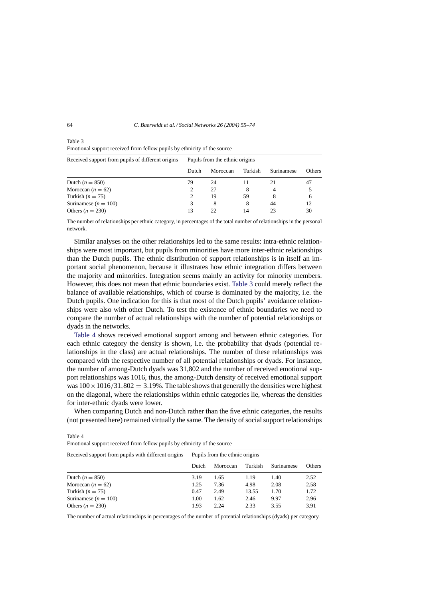| Received support from pupils of different origins |                             | Pupils from the ethnic origins |         |            |               |  |  |
|---------------------------------------------------|-----------------------------|--------------------------------|---------|------------|---------------|--|--|
|                                                   | Dutch                       | Moroccan                       | Turkish | Surinamese | <b>Others</b> |  |  |
| Dutch $(n = 850)$                                 | 79                          | 24                             | 11      | 21         | 47            |  |  |
| Moroccan $(n = 62)$                               | 2                           | 27                             |         | 4          |               |  |  |
| Turkish $(n = 75)$                                | $\mathcal{D}_{\mathcal{L}}$ | 19                             | 59      | 8          | 6             |  |  |
| Surinamese ( $n = 100$ )                          | 3                           | 8                              |         | 44         | 12            |  |  |
| Others $(n = 230)$                                | 13                          | 22                             | 14      | 23         | 30            |  |  |

<span id="page-9-0"></span>Table 3 Emotional support received from fellow pupils by ethnicity of the source

The number of relationships per ethnic category, in percentages of the total number of relationships in the personal network.

Similar analyses on the other relationships led to the same results: intra-ethnic relationships were most important, but pupils from minorities have more inter-ethnic relationships than the Dutch pupils. The ethnic distribution of support relationships is in itself an important social phenomenon, because it illustrates how ethnic integration differs between the majority and minorities. Integration seems mainly an activity for minority members. However, this does not mean that ethnic boundaries exist. Table 3 could merely reflect the balance of available relationships, which of course is dominated by the majority, i.e. the Dutch pupils. One indication for this is that most of the Dutch pupils' avoidance relationships were also with other Dutch. To test the existence of ethnic boundaries we need to compare the number of actual relationships with the number of potential relationships or dyads in the networks.

Table 4 shows received emotional support among and between ethnic categories. For each ethnic category the density is shown, i.e. the probability that dyads (potential relationships in the class) are actual relationships. The number of these relationships was compared with the respective number of all potential relationships or dyads. For instance, the number of among-Dutch dyads was 31,802 and the number of received emotional support relationships was 1016, thus, the among-Dutch density of received emotional support was  $100 \times 1016/31,802 = 3.19\%$ . The table shows that generally the densities were highest on the diagonal, where the relationships within ethnic categories lie, whereas the densities for inter-ethnic dyads were lower.

When comparing Dutch and non-Dutch rather than the five ethnic categories, the results (not presented here) remained virtually the same. The density of social support relationships

| Emonoma support received from fenom pupils by culmenty of the source |                                |          |         |            |        |  |
|----------------------------------------------------------------------|--------------------------------|----------|---------|------------|--------|--|
| Received support from pupils with different origins                  | Pupils from the ethnic origins |          |         |            |        |  |
|                                                                      | Dutch                          | Moroccan | Turkish | Surinamese | Others |  |
| Dutch $(n = 850)$                                                    | 3.19                           | 1.65     | 1.19    | 1.40       | 2.52   |  |
| Moroccan $(n = 62)$                                                  | 1.25                           | 7.36     | 4.98    | 2.08       | 2.58   |  |
| Turkish $(n = 75)$                                                   | 0.47                           | 2.49     | 13.55   | 1.70       | 1.72   |  |
| Surinamese ( $n = 100$ )                                             | 1.00                           | 1.62     | 2.46    | 9.97       | 2.96   |  |
| Others $(n = 230)$                                                   | 1.93                           | 2.24     | 2.33    | 3.55       | 3.91   |  |
|                                                                      |                                |          |         |            |        |  |

Emotional support received from fellow pupils by ethnicity of the source

The number of actual relationships in percentages of the number of potential relationships (dyads) per category.

Table 4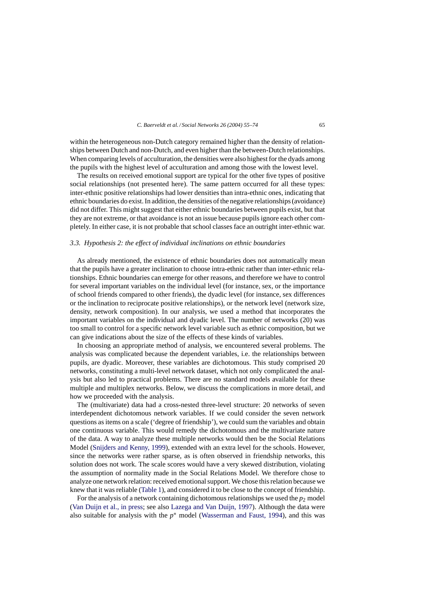within the heterogeneous non-Dutch category remained higher than the density of relationships between Dutch and non-Dutch, and even higher than the between-Dutch relationships. When comparing levels of acculturation, the densities were also highest for the dyads among the pupils with the highest level of acculturation and among those with the lowest level.

The results on received emotional support are typical for the other five types of positive social relationships (not presented here). The same pattern occurred for all these types: inter-ethnic positive relationships had lower densities than intra-ethnic ones, indicating that ethnic boundaries do exist. In addition, the densities of the negative relationships (avoidance) did not differ. This might suggest that either ethnic boundaries between pupils exist, but that they are not extreme, or that avoidance is not an issue because pupils ignore each other completely. In either case, it is not probable that school classes face an outright inter-ethnic war.

#### *3.3. Hypothesis 2: the effect of individual inclinations on ethnic boundaries*

As already mentioned, the existence of ethnic boundaries does not automatically mean that the pupils have a greater inclination to choose intra-ethnic rather than inter-ethnic relationships. Ethnic boundaries can emerge for other reasons, and therefore we have to control for several important variables on the individual level (for instance, sex, or the importance of school friends compared to other friends), the dyadic level (for instance, sex differences or the inclination to reciprocate positive relationships), or the network level (network size, density, network composition). In our analysis, we used a method that incorporates the important variables on the individual and dyadic level. The number of networks (20) was too small to control for a specific network level variable such as ethnic composition, but we can give indications about the size of the effects of these kinds of variables.

In choosing an appropriate method of analysis, we encountered several problems. The analysis was complicated because the dependent variables, i.e. the relationships between pupils, are dyadic. Moreover, these variables are dichotomous. This study comprised 20 networks, constituting a multi-level network dataset, which not only complicated the analysis but also led to practical problems. There are no standard models available for these multiple and multiplex networks. Below, we discuss the complications in more detail, and how we proceeded with the analysis.

The (multivariate) data had a cross-nested three-level structure: 20 networks of seven interdependent dichotomous network variables. If we could consider the seven network questions as items on a scale ('degree of friendship'), we could sum the variables and obtain one continuous variable. This would remedy the dichotomous and the multivariate nature of the data. A way to analyze these multiple networks would then be the Social Relations Model [\(Snijders and Kenny, 1999\),](#page-18-0) extended with an extra level for the schools. However, since the networks were rather sparse, as is often observed in friendship networks, this solution does not work. The scale scores would have a very skewed distribution, violating the assumption of normality made in the Social Relations Model. We therefore chose to analyze one network relation: received emotional support. We chose this relation because we knew that it was reliable ([Table 1\),](#page-7-0) and considered it to be close to the concept of friendship.

For the analysis of a network containing dichotomous relationships we used the  $p_2$  model ([Van Duijn et al., in press;](#page-18-0) see also [Lazega and Van Duijn, 1997\).](#page-17-0) Although the data were also suitable for analysis with the  $p^*$  model [\(Wasserman and Faust, 1994\)](#page-19-0), and this was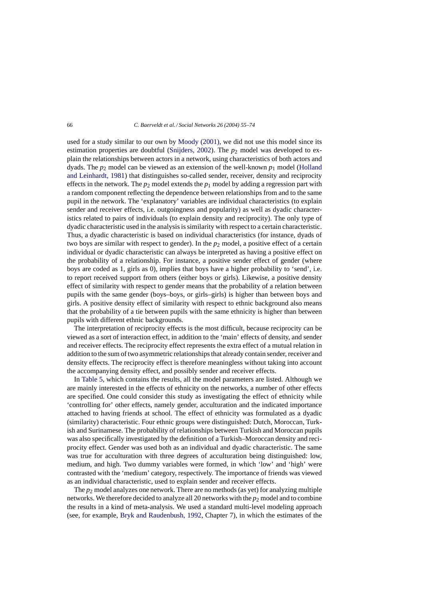used for a study similar to our own by [Moody \(2001\),](#page-17-0) we did not use this model since its estimation properties are doubtful ([Snijders, 2002\).](#page-18-0) The *p*<sup>2</sup> model was developed to explain the relationships between actors in a network, using characteristics of both actors and dyads. The  $p_2$  model can be viewed as an extension of the well-known  $p_1$  model ([Holland](#page-17-0) [and Leinhardt, 1981\)](#page-17-0) that distinguishes so-called sender, receiver, density and reciprocity effects in the network. The  $p_2$  model extends the  $p_1$  model by adding a regression part with a random component reflecting the dependence between relationships from and to the same pupil in the network. The 'explanatory' variables are individual characteristics (to explain sender and receiver effects, i.e. outgoingness and popularity) as well as dyadic characteristics related to pairs of individuals (to explain density and reciprocity). The only type of dyadic characteristic used in the analysis is similarity with respect to a certain characteristic. Thus, a dyadic characteristic is based on individual characteristics (for instance, dyads of two boys are similar with respect to gender). In the  $p_2$  model, a positive effect of a certain individual or dyadic characteristic can always be interpreted as having a positive effect on the probability of a relationship. For instance, a positive sender effect of gender (where boys are coded as 1, girls as 0), implies that boys have a higher probability to 'send', i.e. to report received support from others (either boys or girls). Likewise, a positive density effect of similarity with respect to gender means that the probability of a relation between pupils with the same gender (boys–boys, or girls–girls) is higher than between boys and girls. A positive density effect of similarity with respect to ethnic background also means that the probability of a tie between pupils with the same ethnicity is higher than between pupils with different ethnic backgrounds.

The interpretation of reciprocity effects is the most difficult, because reciprocity can be viewed as a sort of interaction effect, in addition to the 'main' effects of density, and sender and receiver effects. The reciprocity effect represents the extra effect of a mutual relation in addition to the sum of two asymmetric relationships that already contain sender, receiver and density effects. The reciprocity effect is therefore meaningless without taking into account the accompanying density effect, and possibly sender and receiver effects.

In [Table 5,](#page-12-0) which contains the results, all the model parameters are listed. Although we are mainly interested in the effects of ethnicity on the networks, a number of other effects are specified. One could consider this study as investigating the effect of ethnicity while 'controlling for' other effects, namely gender, acculturation and the indicated importance attached to having friends at school. The effect of ethnicity was formulated as a dyadic (similarity) characteristic. Four ethnic groups were distinguished: Dutch, Moroccan, Turkish and Surinamese. The probability of relationships between Turkish and Moroccan pupils was also specifically investigated by the definition of a Turkish–Moroccan density and reciprocity effect. Gender was used both as an individual and dyadic characteristic. The same was true for acculturation with three degrees of acculturation being distinguished: low, medium, and high. Two dummy variables were formed, in which 'low' and 'high' were contrasted with the 'medium' category, respectively. The importance of friends was viewed as an individual characteristic, used to explain sender and receiver effects.

The *p*<sup>2</sup> model analyzes one network. There are no methods (as yet) for analyzing multiple networks. We therefore decided to analyze all 20 networks with the  $p_2$  model and to combine the results in a kind of meta-analysis. We used a standard multi-level modeling approach (see, for example, [Bryk and Raudenbush, 1992,](#page-16-0) Chapter 7), in which the estimates of the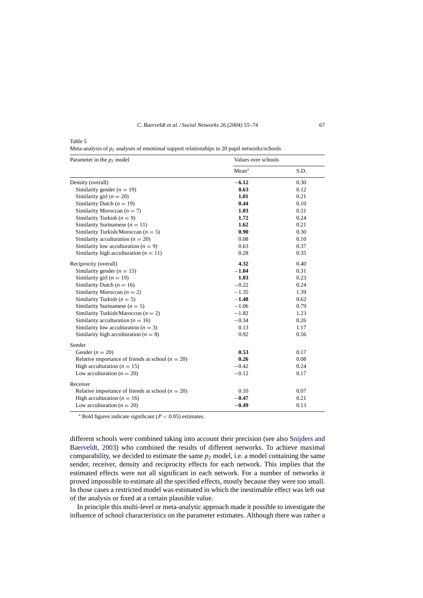<span id="page-12-0"></span>Table 5

Meta-analysis of  $p_2$  analyses of emotional support relationships in 20 pupil networks/schools

| Parameter in the $p_2$ model                          | Values over schools |      |  |  |
|-------------------------------------------------------|---------------------|------|--|--|
|                                                       | $Mean*$             | S.D. |  |  |
| Density (overall)                                     | $-6.12$             | 0.30 |  |  |
| Similarity gender ( $n = 19$ )                        | 0.63                | 0.12 |  |  |
| Similarity girl ( $n = 20$ )                          | 1.01                | 0.21 |  |  |
| Similarity Dutch ( $n = 19$ )                         | 0.44                | 0.10 |  |  |
| Similarity Moroccan $(n = 7)$                         | 1.03                | 0.31 |  |  |
| Similarity Turkish $(n = 9)$                          | 1.72                | 0.24 |  |  |
| Similarity Surinamese $(n = 11)$                      | 1.62                | 0.21 |  |  |
| Similarity Turkish/Moroccan $(n = 5)$                 | 0.90                | 0.30 |  |  |
| Similarity acculturation ( $n = 20$ )                 | 0.08                | 0.10 |  |  |
| Similarity low acculturation ( $n = 9$ )              | 0.63                | 0.37 |  |  |
| Similarity high acculturation ( $n = 11$ )            | 0.28                | 0.35 |  |  |
| Reciprocity (overall)                                 | 4.32                | 0.40 |  |  |
| Similarity gender ( $n = 15$ )                        | $-1.04$             | 0.31 |  |  |
| Similarity girl ( $n = 19$ )                          | 1.03                | 0.23 |  |  |
| Similarity Dutch ( $n = 16$ )                         | $-0.22$             | 0.24 |  |  |
| Similarity Moroccan $(n = 2)$                         | $-1.35$             | 1.39 |  |  |
| Similarity Turkish ( $n = 5$ )                        | $-1.48$             | 0.62 |  |  |
| Similarity Surinamese ( $n = 5$ )                     | $-1.06$             | 0.79 |  |  |
| Similarity Turkish/Maroccon $(n = 2)$                 | $-1.82$             | 1.23 |  |  |
| Similarity acculturation ( $n = 16$ )                 | $-0.34$             | 0.26 |  |  |
| Similarity low acculturation ( $n = 3$ )              | 0.13                | 1.17 |  |  |
| Similarity high acculturation ( $n = 8$ )             | 0.92                | 0.56 |  |  |
| Sender                                                |                     |      |  |  |
| Gender ( $n = 20$ )                                   | 0.53                | 0.17 |  |  |
| Relative importance of friends at school ( $n = 20$ ) | 0.26                | 0.08 |  |  |
| High acculturation ( $n = 15$ )                       | $-0.42$             | 0.24 |  |  |
| Low acculturation ( $n = 20$ )                        | $-0.12$             | 0.17 |  |  |
| Receiver                                              |                     |      |  |  |
| Relative importance of friends at school ( $n = 20$ ) | 0.10                | 0.07 |  |  |
| High acculturation ( $n = 16$ )                       | $-0.47$             | 0.21 |  |  |
| Low acculturation ( $n = 20$ )                        | $-0.49$             | 0.13 |  |  |

 $*$  Bold figures indicate significant ( $P < 0.05$ ) estimates.

different schools were combined taking into account their precision (see also [Snijders and](#page-18-0) [Baerveldt, 2003\)](#page-18-0) who combined the results of different networks. To achieve maximal comparability, we decided to estimate the same *p*<sup>2</sup> model, i.e. a model containing the same sender, receiver, density and reciprocity effects for each network. This implies that the estimated effects were not all significant in each network. For a number of networks it proved impossible to estimate all the specified effects, mostly because they were too small. In those cases a restricted model was estimated in which the inestimable effect was left out of the analysis or fixed at a certain plausible value.

In principle this multi-level or meta-analytic approach made it possible to investigate the influence of school characteristics on the parameter estimates. Although there was rather a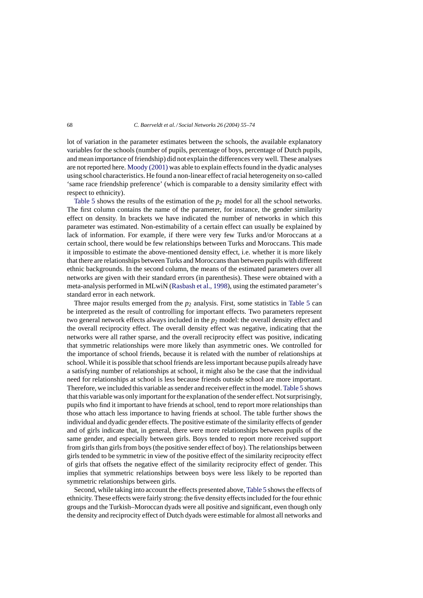lot of variation in the parameter estimates between the schools, the available explanatory variables for the schools (number of pupils, percentage of boys, percentage of Dutch pupils, and mean importance of friendship) did not explain the differences very well. These analyses are not reported here. [Moody \(2001\)](#page-17-0) was able to explain effects found in the dyadic analyses using school characteristics. He found a non-linear effect of racial heterogeneity on so-called 'same race friendship preference' (which is comparable to a density similarity effect with respect to ethnicity).

[Table 5](#page-12-0) shows the results of the estimation of the  $p_2$  model for all the school networks. The first column contains the name of the parameter, for instance, the gender similarity effect on density. In brackets we have indicated the number of networks in which this parameter was estimated. Non-estimability of a certain effect can usually be explained by lack of information. For example, if there were very few Turks and/or Moroccans at a certain school, there would be few relationships between Turks and Moroccans. This made it impossible to estimate the above-mentioned density effect, i.e. whether it is more likely that there are relationships between Turks and Moroccans than between pupils with different ethnic backgrounds. In the second column, the means of the estimated parameters over all networks are given with their standard errors (in parenthesis). These were obtained with a meta-analysis performed in MLwiN ([Rasbash et al., 1998\),](#page-18-0) using the estimated parameter's standard error in each network.

Three major results emerged from the  $p_2$  analysis. First, some statistics in [Table 5](#page-12-0) can be interpreted as the result of controlling for important effects. Two parameters represent two general network effects always included in the  $p_2$  model: the overall density effect and the overall reciprocity effect. The overall density effect was negative, indicating that the networks were all rather sparse, and the overall reciprocity effect was positive, indicating that symmetric relationships were more likely than asymmetric ones. We controlled for the importance of school friends, because it is related with the number of relationships at school. While it is possible that school friends are less important because pupils already have a satisfying number of relationships at school, it might also be the case that the individual need for relationships at school is less because friends outside school are more important. Therefore, we included this variable as sender and receiver effect in the model. [Table 5](#page-12-0) shows that this variable was only important for the explanation of the sender effect. Not surprisingly, pupils who find it important to have friends at school, tend to report more relationships than those who attach less importance to having friends at school. The table further shows the individual and dyadic gender effects. The positive estimate of the similarity effects of gender and of girls indicate that, in general, there were more relationships between pupils of the same gender, and especially between girls. Boys tended to report more received support from girls than girls from boys (the positive sender effect of boy). The relationships between girls tended to be symmetric in view of the positive effect of the similarity reciprocity effect of girls that offsets the negative effect of the similarity reciprocity effect of gender. This implies that symmetric relationships between boys were less likely to be reported than symmetric relationships between girls.

Second, while taking into account the effects presented above, [Table 5](#page-12-0) shows the effects of ethnicity. These effects were fairly strong: the five density effects included for the four ethnic groups and the Turkish–Moroccan dyads were all positive and significant, even though only the density and reciprocity effect of Dutch dyads were estimable for almost all networks and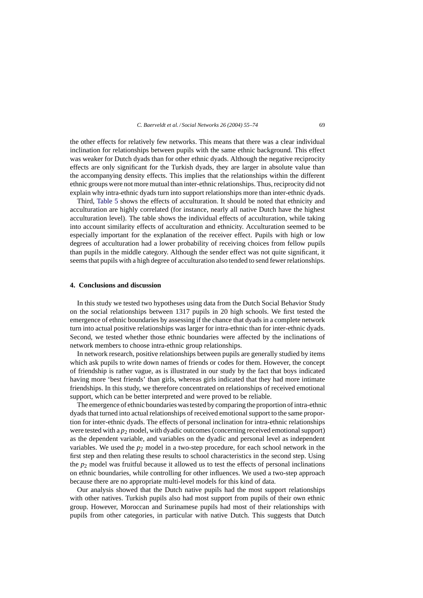the other effects for relatively few networks. This means that there was a clear individual inclination for relationships between pupils with the same ethnic background. This effect was weaker for Dutch dyads than for other ethnic dyads. Although the negative reciprocity effects are only significant for the Turkish dyads, they are larger in absolute value than the accompanying density effects. This implies that the relationships within the different ethnic groups were not more mutual than inter-ethnic relationships. Thus, reciprocity did not explain why intra-ethnic dyads turn into support relationships more than inter-ethnic dyads.

Third, [Table 5](#page-12-0) shows the effects of acculturation. It should be noted that ethnicity and acculturation are highly correlated (for instance, nearly all native Dutch have the highest acculturation level). The table shows the individual effects of acculturation, while taking into account similarity effects of acculturation and ethnicity. Acculturation seemed to be especially important for the explanation of the receiver effect. Pupils with high or low degrees of acculturation had a lower probability of receiving choices from fellow pupils than pupils in the middle category. Although the sender effect was not quite significant, it seems that pupils with a high degree of acculturation also tended to send fewer relationships.

## **4. Conclusions and discussion**

In this study we tested two hypotheses using data from the Dutch Social Behavior Study on the social relationships between 1317 pupils in 20 high schools. We first tested the emergence of ethnic boundaries by assessing if the chance that dyads in a complete network turn into actual positive relationships was larger for intra-ethnic than for inter-ethnic dyads. Second, we tested whether those ethnic boundaries were affected by the inclinations of network members to choose intra-ethnic group relationships.

In network research, positive relationships between pupils are generally studied by items which ask pupils to write down names of friends or codes for them. However, the concept of friendship is rather vague, as is illustrated in our study by the fact that boys indicated having more 'best friends' than girls, whereas girls indicated that they had more intimate friendships. In this study, we therefore concentrated on relationships of received emotional support, which can be better interpreted and were proved to be reliable.

The emergence of ethnic boundaries was tested by comparing the proportion of intra-ethnic dyads that turned into actual relationships of received emotional support to the same proportion for inter-ethnic dyads. The effects of personal inclination for intra-ethnic relationships were tested with a  $p_2$  model, with dyadic outcomes (concerning received emotional support) as the dependent variable, and variables on the dyadic and personal level as independent variables. We used the  $p_2$  model in a two-step procedure, for each school network in the first step and then relating these results to school characteristics in the second step. Using the  $p_2$  model was fruitful because it allowed us to test the effects of personal inclinations on ethnic boundaries, while controlling for other influences. We used a two-step approach because there are no appropriate multi-level models for this kind of data.

Our analysis showed that the Dutch native pupils had the most support relationships with other natives. Turkish pupils also had most support from pupils of their own ethnic group. However, Moroccan and Surinamese pupils had most of their relationships with pupils from other categories, in particular with native Dutch. This suggests that Dutch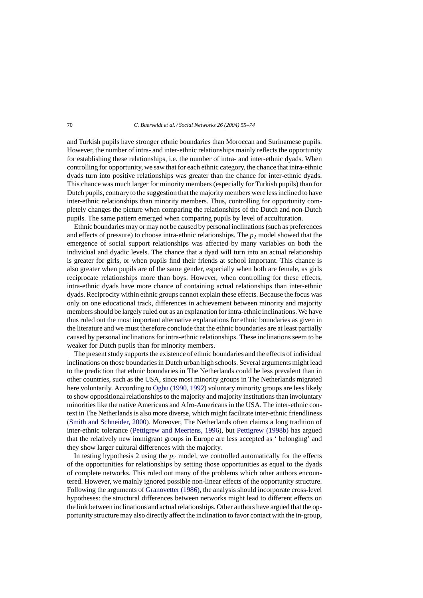and Turkish pupils have stronger ethnic boundaries than Moroccan and Surinamese pupils. However, the number of intra- and inter-ethnic relationships mainly reflects the opportunity for establishing these relationships, i.e. the number of intra- and inter-ethnic dyads. When controlling for opportunity, we saw that for each ethnic category, the chance that intra-ethnic dyads turn into positive relationships was greater than the chance for inter-ethnic dyads. This chance was much larger for minority members (especially for Turkish pupils) than for Dutch pupils, contrary to the suggestion that the majority members were less inclined to have inter-ethnic relationships than minority members. Thus, controlling for opportunity completely changes the picture when comparing the relationships of the Dutch and non-Dutch pupils. The same pattern emerged when comparing pupils by level of acculturation.

Ethnic boundaries may or may not be caused by personal inclinations (such as preferences and effects of pressure) to choose intra-ethnic relationships. The  $p_2$  model showed that the emergence of social support relationships was affected by many variables on both the individual and dyadic levels. The chance that a dyad will turn into an actual relationship is greater for girls, or when pupils find their friends at school important. This chance is also greater when pupils are of the same gender, especially when both are female, as girls reciprocate relationships more than boys. However, when controlling for these effects, intra-ethnic dyads have more chance of containing actual relationships than inter-ethnic dyads. Reciprocity within ethnic groups cannot explain these effects. Because the focus was only on one educational track, differences in achievement between minority and majority members should be largely ruled out as an explanation for intra-ethnic inclinations. We have thus ruled out the most important alternative explanations for ethnic boundaries as given in the literature and we must therefore conclude that the ethnic boundaries are at least partially caused by personal inclinations for intra-ethnic relationships. These inclinations seem to be weaker for Dutch pupils than for minority members.

The present study supports the existence of ethnic boundaries and the effects of individual inclinations on those boundaries in Dutch urban high schools. Several arguments might lead to the prediction that ethnic boundaries in The Netherlands could be less prevalent than in other countries, such as the USA, since most minority groups in The Netherlands migrated here voluntarily. According to [Ogbu \(1990, 1992\) v](#page-17-0)oluntary minority groups are less likely to show oppositional relationships to the majority and majority institutions than involuntary minorities like the native Americans and Afro-Americans in the USA. The inter-ethnic context in The Netherlands is also more diverse, which might facilitate inter-ethnic friendliness [\(Smith and Schneider, 2000\).](#page-18-0) Moreover, The Netherlands often claims a long tradition of inter-ethnic tolerance ([Pettigrew and Meertens, 1996\)](#page-18-0), but [Pettigrew \(1998b\)](#page-18-0) has argued that the relatively new immigrant groups in Europe are less accepted as ' belonging' and they show larger cultural differences with the majority.

In testing hypothesis 2 using the  $p_2$  model, we controlled automatically for the effects of the opportunities for relationships by setting those opportunities as equal to the dyads of complete networks. This ruled out many of the problems which other authors encountered. However, we mainly ignored possible non-linear effects of the opportunity structure. Following the arguments of [Granovetter \(1986\), t](#page-17-0)he analysis should incorporate cross-level hypotheses: the structural differences between networks might lead to different effects on the link between inclinations and actual relationships. Other authors have argued that the opportunity structure may also directly affect the inclination to favor contact with the in-group,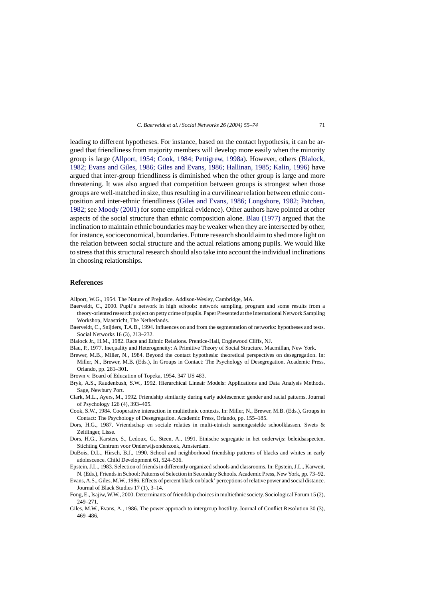<span id="page-16-0"></span>leading to different hypotheses. For instance, based on the contact hypothesis, it can be argued that friendliness from majority members will develop more easily when the minority group is large (Allport, 1954; Cook, 1984; Pettigrew, 1998a). However, others (Blalock, 1982; Evans and Giles, 1986; Giles and Evans, 1986; Hallinan, 1985; Kalin, 1996) have argued that inter-group friendliness is diminished when the other group is large and more threatening. It was also argued that competition between groups is strongest when those groups are well-matched in size, thus resulting in a curvilinear relation between ethnic composition and inter-ethnic friendliness (Giles and Evans, 1986; Longshore, 1982; Patchen, 1982; see [Moody \(2001\)](#page-17-0) for some empirical evidence). Other authors have pointed at other aspects of the social structure than ethnic composition alone. Blau (1977) argued that the inclination to maintain ethnic boundaries may be weaker when they are intersected by other, for instance, socioeconomical, boundaries. Future research should aim to shed more light on the relation between social structure and the actual relations among pupils. We would like to stress that this structural research should also take into account the individual inclinations in choosing relationships.

### **References**

Allport, W.G., 1954. The Nature of Prejudice. Addison-Wesley, Cambridge, MA.

- Baerveldt, C., 2000. Pupil's network in high schools: network sampling, program and some results from a theory-oriented research project on petty crime of pupils. Paper Presented at the International Network Sampling Workshop, Maastricht, The Netherlands.
- Baerveldt, C., Snijders, T.A.B., 1994. Influences on and from the segmentation of networks: hypotheses and tests. Social Networks 16 (3), 213–232.
- Blalock Jr., H.M., 1982. Race and Ethnic Relations. Prentice-Hall, Englewood Cliffs, NJ.
- Blau, P., 1977. Inequality and Heterogeneity: A Primitive Theory of Social Structure. Macmillan, New York.
- Brewer, M.B., Miller, N., 1984. Beyond the contact hypothesis: theoretical perspectives on desegregation. In: Miller, N., Brewer, M.B. (Eds.), In Groups in Contact: The Psychology of Desegregation. Academic Press, Orlando, pp. 281–301.
- Brown v. Board of Education of Topeka, 1954. 347 US 483.
- Bryk, A.S., Raudenbush, S.W., 1992. Hierarchical Lineair Models: Applications and Data Analysis Methods. Sage, Newbury Port.
- Clark, M.L., Ayers, M., 1992. Friendship similarity during early adolescence: gender and racial patterns. Journal of Psychology 126 (4), 393–405.
- Cook, S.W., 1984. Cooperative interaction in multiethnic contexts. In: Miller, N., Brewer, M.B. (Eds.), Groups in Contact: The Psychology of Desegregation. Academic Press, Orlando, pp. 155–185.
- Dors, H.G., 1987. Vriendschap en sociale relaties in multi-etnisch samengestelde schoolklassen. Swets & Zeitlinger, Lisse.
- Dors, H.G., Karsten, S., Ledoux, G., Steen, A., 1991. Etnische segregatie in het onderwijs: beleidsaspecten. Stichting Centrum voor Onderwijsonderzoek, Amsterdam.
- DuBois, D.L., Hirsch, B.J., 1990. School and neighborhood friendship patterns of blacks and whites in early adolescence. Child Development 61, 524–536.
- Epstein, J.L., 1983. Selection of friends in differently organized schools and classrooms. In: Epstein, J.L., Karweit, N. (Eds.), Friends in School: Patterns of Selection in Secondary Schools. Academic Press, New York, pp. 73–92.
- Evans, A.S., Giles, M.W., 1986. Effects of percent black on black' perceptions of relative power and social distance. Journal of Black Studies 17 (1), 3–14.
- Fong, E., Isajiw, W.W., 2000. Determinants of friendship choices in multiethnic society. Sociological Forum 15 (2), 249–271.
- Giles, M.W., Evans, A., 1986. The power approach to intergroup hostility. Journal of Conflict Resolution 30 (3), 469–486.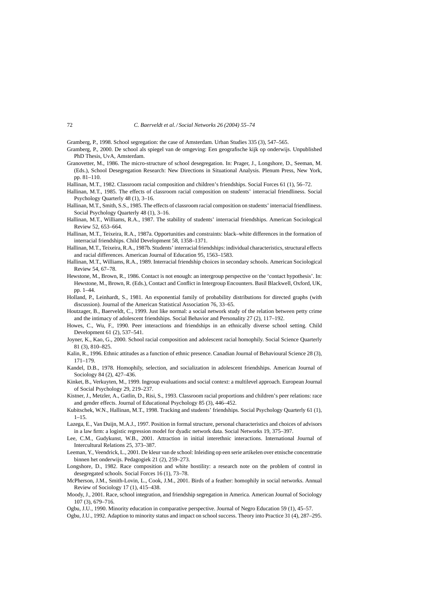- <span id="page-17-0"></span>Gramberg, P., 1998. School segregation: the case of Amsterdam. Urban Studies 335 (3), 547–565.
- Gramberg, P., 2000. De school als spiegel van de omgeving: Een geografische kijk op onderwijs. Unpublished PhD Thesis, UvA, Amsterdam.
- Granovetter, M., 1986. The micro-structure of school desegregation. In: Prager, J., Longshore, D., Seeman, M. (Eds.), School Desegregation Research: New Directions in Situational Analysis. Plenum Press, New York, pp. 81–110.
- Hallinan, M.T., 1982. Classroom racial composition and children's friendships. Social Forces 61 (1), 56–72.
- Hallinan, M.T., 1985. The effects of classroom racial composition on students' interracial friendliness. Social Psychology Quarterly 48 (1), 3–16.
- Hallinan, M.T., Smith, S.S., 1985. The effects of classroom racial composition on students' interracial friendliness. Social Psychology Quarterly 48 (1), 3–16.
- Hallinan, M.T., Williams, R.A., 1987. The stability of students' interracial friendships. American Sociological Review 52, 653–664.
- Hallinan, M.T., Teixeira, R.A., 1987a. Opportunities and constraints: black–white differences in the formation of interracial friendships. Child Development 58, 1358–1371.
- Hallinan, M.T., Teixeira, R.A., 1987b. Students' interracial friendships: individual characteristics, structural effects and racial differences. American Journal of Education 95, 1563–1583.
- Hallinan, M.T., Williams, R.A., 1989. Interracial friendship choices in secondary schools. American Sociological Review 54, 67–78.
- Hewstone, M., Brown, R., 1986. Contact is not enough: an intergroup perspective on the 'contact hypothesis'. In: Hewstone, M., Brown, R. (Eds.), Contact and Conflict in Intergroup Encounters. Basil Blackwell, Oxford, UK, pp. 1–44.
- Holland, P., Leinhardt, S., 1981. An exponential family of probability distributions for directed graphs (with discussion). Journal of the American Statistical Association 76, 33–65.
- Houtzager, B., Baerveldt, C., 1999. Just like normal: a social network study of the relation between petty crime and the intimacy of adolescent friendships. Social Behavior and Personality 27 (2), 117–192.
- Howes, C., Wu, F., 1990. Peer interactions and friendships in an ethnically diverse school setting. Child Development 61 (2), 537–541.
- Joyner, K., Kao, G., 2000. School racial composition and adolescent racial homophily. Social Science Quarterly 81 (3), 810–825.
- Kalin, R., 1996. Ethnic attitudes as a function of ethnic presence. Canadian Journal of Behavioural Science 28 (3), 171–179.
- Kandel, D.B., 1978. Homophily, selection, and socialization in adolescent friendships. American Journal of Sociology 84 (2), 427–436.
- Kinket, B., Verkuyten, M., 1999. Ingroup evaluations and social context: a multilevel approach. European Journal of Social Psychology 29, 219–237.
- Kistner, J., Metzler, A., Gatlin, D., Risi, S., 1993. Classroom racial proportions and children's peer relations: race and gender effects. Journal of Educational Psychology 85 (3), 446–452.
- Kubitschek, W.N., Hallinan, M.T., 1998. Tracking and students' friendships. Social Psychology Quarterly 61 (1),  $1 - 15$ .
- Lazega, E., Van Duijn, M.A.J., 1997. Position in formal structure, personal characteristics and choices of advisors in a law firm: a logistic regression model for dyadic network data. Social Networks 19, 375–397.
- Lee, C.M., Gudykunst, W.B., 2001. Attraction in initial interethnic interactions. International Journal of Intercultural Relations 25, 373–387.
- Leeman, Y., Veendrick, L., 2001. De kleur van de school: Inleiding op een serie artikelen over etnische concentratie binnen het onderwijs. Pedagogiek 21 (2), 259–273.
- Longshore, D., 1982. Race composition and white hostility: a research note on the problem of control in desegregated schools. Social Forces 16 (1), 73–78.
- McPherson, J.M., Smith-Lovin, L., Cook, J.M., 2001. Birds of a feather: homophily in social networks. Annual Review of Sociology 17 (1), 415–438.
- Moody, J., 2001. Race, school integration, and friendship segregation in America. American Journal of Sociology 107 (3), 679–716.
- Ogbu, J.U., 1990. Minority education in comparative perspective. Journal of Negro Education 59 (1), 45–57.
- Ogbu, J.U., 1992. Adaption to minority status and impact on school success. Theory into Practice 31 (4), 287–295.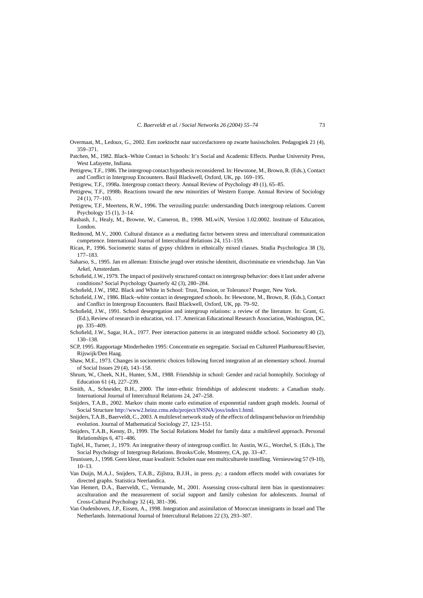- <span id="page-18-0"></span>Overmaat, M., Ledoux, G., 2002. Een zoektocht naar succesfactoren op zwarte basisscholen. Pedagogiek 21 (4), 359–371.
- Patchen, M., 1982. Black–White Contact in Schools: It's Social and Academic Effects. Purdue University Press, West Lafayette, Indiana.
- Pettigrew, T.F., 1986. The intergroup contact hypothesis reconsidered. In: Hewstone, M., Brown, R. (Eds.), Contact and Conflict in Intergroup Encounters. Basil Blackwell, Oxford, UK, pp. 169–195.
- Pettigrew, T.F., 1998a. Intergroup contact theory. Annual Review of Psychology 49 (1), 65–85.
- Pettigrew, T.F., 1998b. Reactions toward the new minorities of Western Europe. Annual Review of Sociology 24 (1), 77–103.
- Pettigrew, T.F., Meertens, R.W., 1996. The verzuiling puzzle: understanding Dutch intergroup relations. Current Psychology 15 (1), 3–14.
- Rasbash, J., Healy, M., Browne, W., Cameron, B., 1998. MLwiN, Version 1.02.0002. Institute of Education, London.
- Redmond, M.V., 2000. Cultural distance as a mediating factor between stress and intercultural communication competence. International Journal of Intercultural Relations 24, 151–159.
- Rícan, P., 1996. Sociometric status of gypsy children in ethnically mixed classes. Studia Psychologica 38 (3), 177–183.
- Saharso, S., 1995. Jan en alleman: Etnische jeugd over etnische identiteit, discriminatie en vriendschap. Jan Van Arkel, Amsterdam.
- Schofield, J.W., 1979. The impact of positively structured contact on intergroup behavior: does it last under adverse conditions? Social Psychology Quarterly 42 (3), 280–284.
- Schofield, J.W., 1982. Black and White in School: Trust, Tension, or Tolerance? Praeger, New York.
- Schofield, J.W., 1986. Black–white contact in desegregated schools. In: Hewstone, M., Brown, R. (Eds.), Contact and Conflict in Intergroup Encounters. Basil Blackwell, Oxford, UK, pp. 79–92.
- Schofield, J.W., 1991. School desegregation and intergroup relations: a review of the literature. In: Grant, G. (Ed.), Review of research in education, vol. 17. American Educational Research Association, Washington, DC, pp. 335–409.
- Schofield, J.W., Sagar, H.A., 1977. Peer interaction patterns in an integrated middle school. Sociometry 40 (2), 130–138.
- SCP, 1995. Rapportage Minderheden 1995: Concentratie en segregatie. Sociaal en Cultureel Planbureau/Elsevier, Rijswijk/Den Haag.
- Shaw, M.E., 1973. Changes in sociometric choices following forced integration af an elementary school. Journal of Social Issues 29 (4), 143–158.
- Shrum, W., Cheek, N.H., Hunter, S.M., 1988. Friendship in school: Gender and racial homophily. Sociology of Education 61 (4), 227–239.
- Smith, A., Schneider, B.H., 2000. The inter-ethnic friendships of adolescent students: a Canadian study. International Journal of Intercultural Relations 24, 247–258.
- Snijders, T.A.B., 2002. Markov chain monte carlo estimation of exponential random graph models. Journal of Social Structure <http://www2.heinz.cmu.edu/project/INSNA/joss/index1.html>.
- Snijders, T.A.B., Baerveldt, C., 2003. A multilevel network study of the effects of delinquent behavior on friendship evolution. Journal of Mathematical Sociology 27, 123–151.
- Snijders, T.A.B., Kenny, D., 1999. The Social Relations Model for family data: a multilevel approach. Personal Relationships 6, 471–486.
- Tajfel, H., Turner, J., 1979. An integrative theory of intergroup conflict. In: Austin, W.G., Worchel, S. (Eds.), The Social Psychology of Intergroup Relations. Brooks/Cole, Monterey, CA, pp. 33–47.
- Teunissen, J., 1998. Geen kleur, maar kwaliteit: Scholen naar een multiculturele instelling. Vernieuwing 57 (9-10),  $10-13$
- Van Duijn, M.A.J., Snijders, T.A.B., Zijlstra, B.J.H., in press. *p*2: a random effects model with covariates for directed graphs. Statistica Neerlandica.
- Van Hemert, D.A., Baerveldt, C., Vermande, M., 2001. Assessing cross-cultural item bias in questionnaires: acculturation and the measurement of social support and family cohesion for adolescents. Journal of Cross-Cultural Psychology 32 (4), 381–396.
- Van Oudenhoven, J.P., Eissen, A., 1998. Integration and assimilation of Moroccan immigrants in Israel and The Netherlands. International Journal of Intercultural Relations 22 (3), 293–307.